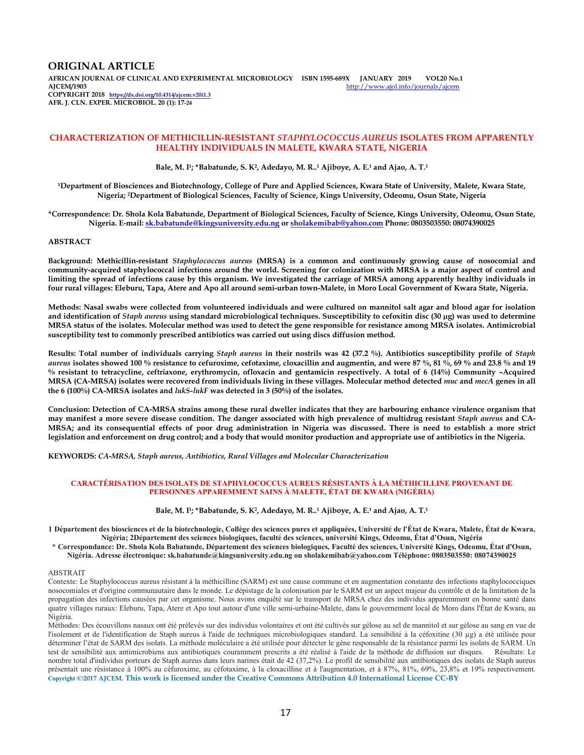### **ORIGINAL ARTICLE**

**AFRICAN JOURNAL OF CLINICAL AND EXPERIMENTAL MICROBIOLOGY ISBN 1595-689X JANUARY 2019 VOL20 No.1 AJCEM/1903** http://www.ajol.info/journals/ajcem **COPYRIGHT 2018 https://dx.doi.org/10.4314/ajcem.v20i1.3 AFR. J. CLN. EXPER. MICROBIOL. 20 (1): 17-24**

#### **CHARACTERIZATION OF METHICILLIN-RESISTANT** *STAPHYLOCOCCUS AUREUS* **ISOLATES FROM APPARENTLY HEALTHY INDIVIDUALS IN MALETE, KWARA STATE, NIGERIA**

**Bale, M. I<sup>1</sup> ; \*Babatunde, S. K<sup>2</sup> , Adedayo, M. R..<sup>1</sup> Ajiboye, A. E.<sup>1</sup> and Ajao, A. T.<sup>1</sup>**

**<sup>1</sup>Department of Biosciences and Biotechnology, College of Pure and Applied Sciences, Kwara State of University, Malete, Kwara State, Nigeria; 2Department of Biological Sciences, Faculty of Science, Kings University, Odeomu, Osun State, Nigeria** 

**\*Correspondence: Dr. Shola Kola Babatunde, Department of Biological Sciences, Faculty of Science, Kings University, Odeomu, Osun State, Nigeria. E-mail: sk.babatunde@kingsuniversity.edu.ng or sholakemibab@yahoo.com Phone: 0803503550: 08074390025** 

## **ABSTRACT**

**Background: Methicillin-resistant** *Staphylococcus aureus* **(MRSA) is a common and continuously growing cause of nosocomial and community-acquired staphylococcal infections around the world. Screening for colonization with MRSA is a major aspect of control and limiting the spread of infections cause by this organism. We investigated the carriage of MRSA among apparently healthy individuals in four rural villages: Eleburu, Tapa, Atere and Apo all around semi-urban town-Malete, in Moro Local Government of Kwara State, Nigeria.** 

**Methods: Nasal swabs were collected from volunteered individuals and were cultured on mannitol salt agar and blood agar for isolation and identification of** *Staph aureus* **using standard microbiological techniques. Susceptibility to cefoxitin disc (30 µg) was used to determine MRSA status of the isolates. Molecular method was used to detect the gene responsible for resistance among MRSA isolates. Antimicrobial susceptibility test to commonly prescribed antibiotics was carried out using discs diffusion method.** 

**Results: Total number of individuals carrying** *Staph aureus* **in their nostrils was 42 (37.2 %). Antibiotics susceptibility profile of** *Staph aureus* **isolates showed 100 % resistance to cefuroxime, cefotaxime, cloxacillin and augmentin, and were 87 %, 81 %, 69 % and 23.8 % and 19 % resistant to tetracycline, ceftriaxone, erythromycin, ofloxacin and gentamicin respectively. A total of 6 (14%) Community –Acquired MRSA (CA-MRSA) isolates were recovered from individuals living in these villages. Molecular method detected** *muc* **and** *mecA* **genes in all the 6 (100%) CA-MRSA isolates and** *lukS-lukF* **was detected in 3 (50%) of the isolates.** 

**Conclusion: Detection of CA-MRSA strains among these rural dweller indicates that they are harbouring enhance virulence organism that**  may manifest a more severe disease condition. The danger associated with high prevalence of multidrug resistant *Staph aureus* and CA-**MRSA; and its consequential effects of poor drug administration in Nigeria was discussed. There is need to establish a more strict legislation and enforcement on drug control; and a body that would monitor production and appropriate use of antibiotics in the Nigeria.** 

**KEYWORDS:** *CA***-***MRSA, Staph aureus, Antibiotics, Rural Villages and Molecular Characterization*

#### **CARACTÉRISATION DES ISOLATS DE STAPHYLOCOCCUS AUREUS RÉSISTANTS À LA MÉTHICILLINE PROVENANT DE PERSONNES APPAREMMENT SAINS À MALETE, ÉTAT DE KWARA (NIGÉRIA)**

**Bale, M. I<sup>1</sup> ; \*Babatunde, S. K<sup>2</sup> , Adedayo, M. R..<sup>1</sup> Ajiboye, A. E.<sup>1</sup> and Ajao, A. T.<sup>1</sup>**

**1 Département des biosciences et de la biotechnologie, Collège des sciences pures et appliquées, Université de l'État de Kwara, Malete, État de Kwara, Nigéria; 2Département des sciences biologiques, faculté des sciences, université Kings, Odeomu, État d'Osun, Nigéria** 

**\* Correspondance: Dr. Shola Kola Babatunde, Département des sciences biologiques, Faculté des sciences, Université Kings, Odeomu, État d'Osun, Nigéria. Adresse électronique: sk.babatunde@kingsuniversity.edu.ng ou sholakemibab@yahoo.com Téléphone: 0803503550: 08074390025** 

#### ABSTRAIT

Contexte: Le Staphylococcus aureus résistant à la méthicilline (SARM) est une cause commune et en augmentation constante des infections staphylococciques nosocomiales et d'origine communautaire dans le monde. Le dépistage de la colonisation par le SARM est un aspect majeur du contrôle et de la limitation de la propagation des infections causées par cet organisme. Nous avons enquêté sur le transport de MRSA chez des individus apparemment en bonne santé dans quatre villages ruraux: Eleburu, Tapa, Atere et Apo tout autour d'une ville semi-urbaine-Malete, dans le gouvernement local de Moro dans l'État de Kwara, au Nigéria.

Méthodes: Des écouvillons nasaux ont été prélevés sur des individus volontaires et ont été cultivés sur gélose au sel de mannitol et sur gélose au sang en vue de l'isolement et de l'identification de Staph aureus à l'aide de techniques microbiologiques standard. La sensibilité à la céfoxitine (30 µg) a été utilisée pour déterminer l'état de SARM des isolats. La méthode moléculaire a été utilisée pour détecter le gène responsable de la résistance parmi les isolats de SARM. Un test de sensibilité aux antimicrobiens aux antibiotiques couramment prescrits a été réalisé à l'aide de la méthode de diffusion sur disques. Résultats: Le nombre total d'individus porteurs de Staph aureus dans leurs narines était de 42 (37,2%). Le profil de sensibilité aux antibiotiques des isolats de Staph aureus présentait une résistance à 100% au céfuroxime, au céfotaxime, à la cloxacilline et à l'augmentation, et à 87%, 81%, 69%, 23,8% et 19% respectivement. **Copyright ©2017 AJCEM. This work is licensed under the Creative Commons Attribution 4.0 International License CC-BY**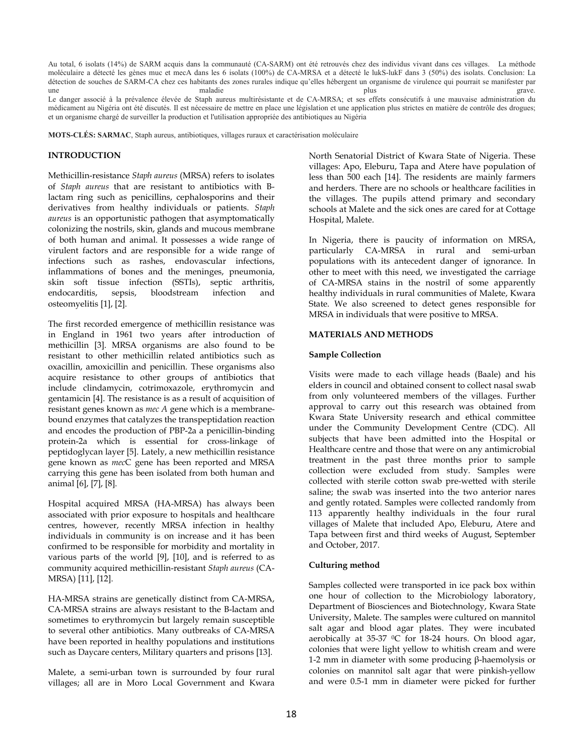Au total, 6 isolats (14%) de SARM acquis dans la communauté (CA-SARM) ont été retrouvés chez des individus vivant dans ces villages. La méthode moléculaire a détecté les gènes muc et mecA dans les 6 isolats (100%) de CA-MRSA et a détecté le lukS-lukF dans 3 (50%) des isolats. Conclusion: La détection de souches de SARM-CA chez ces habitants des zones rurales indique qu'elles hébergent un organisme de virulence qui pourrait se manifester par une maladie maladie entre plus plus grave. Le danger associé à la prévalence élevée de Staph aureus multirésistante et de CA-MRSA; et ses effets consécutifs à une mauvaise administration du

médicament au Nigéria ont été discutés. Il est nécessaire de mettre en place une législation et une application plus strictes en matière de contrôle des drogues; et un organisme chargé de surveiller la production et l'utilisation appropriée des antibiotiques au Nigéria

**MOTS-CLÉS: SARMAC**, Staph aureus, antibiotiques, villages ruraux et caractérisation moléculaire

## **INTRODUCTION**

Methicillin-resistance *Staph aureus* (MRSA) refers to isolates of *Staph aureus* that are resistant to antibiotics with Blactam ring such as penicillins, cephalosporins and their derivatives from healthy individuals or patients. *Staph aureus* is an opportunistic pathogen that asymptomatically colonizing the nostrils, skin, glands and mucous membrane of both human and animal. It possesses a wide range of virulent factors and are responsible for a wide range of infections such as rashes, endovascular infections, inflammations of bones and the meninges, pneumonia, skin soft tissue infection (SSTIs), septic arthritis, endocarditis, sepsis, bloodstream infection and osteomyelitis [1], [2].

The first recorded emergence of methicillin resistance was in England in 1961 two years after introduction of methicillin [3]. MRSA organisms are also found to be resistant to other methicillin related antibiotics such as oxacillin, amoxicillin and penicillin. These organisms also acquire resistance to other groups of antibiotics that include clindamycin, cotrimoxazole, erythromycin and gentamicin [4]. The resistance is as a result of acquisition of resistant genes known as *mec A* gene which is a membranebound enzymes that catalyzes the transpeptidation reaction and encodes the production of PBP-2a a penicillin-binding protein-2a which is essential for cross-linkage of peptidoglycan layer [5]. Lately, a new methicillin resistance gene known as *mec*C gene has been reported and MRSA carrying this gene has been isolated from both human and animal [6], [7], [8].

Hospital acquired MRSA (HA-MRSA) has always been associated with prior exposure to hospitals and healthcare centres, however, recently MRSA infection in healthy individuals in community is on increase and it has been confirmed to be responsible for morbidity and mortality in various parts of the world [9], [10], and is referred to as community acquired methicillin-resistant *Staph aureus* (CA-MRSA) [11], [12].

HA-MRSA strains are genetically distinct from CA-MRSA, CA-MRSA strains are always resistant to the B-lactam and sometimes to erythromycin but largely remain susceptible to several other antibiotics. Many outbreaks of CA-MRSA have been reported in healthy populations and institutions such as Daycare centers, Military quarters and prisons [13].

Malete, a semi-urban town is surrounded by four rural villages; all are in Moro Local Government and Kwara North Senatorial District of Kwara State of Nigeria. These villages: Apo, Eleburu, Tapa and Atere have population of less than 500 each [14]. The residents are mainly farmers and herders. There are no schools or healthcare facilities in the villages. The pupils attend primary and secondary schools at Malete and the sick ones are cared for at Cottage Hospital, Malete.

In Nigeria, there is paucity of information on MRSA, particularly CA-MRSA in rural and semi-urban populations with its antecedent danger of ignorance. In other to meet with this need, we investigated the carriage of CA-MRSA stains in the nostril of some apparently healthy individuals in rural communities of Malete, Kwara State. We also screened to detect genes responsible for MRSA in individuals that were positive to MRSA.

## **MATERIALS AND METHODS**

## **Sample Collection**

Visits were made to each village heads (Baale) and his elders in council and obtained consent to collect nasal swab from only volunteered members of the villages. Further approval to carry out this research was obtained from Kwara State University research and ethical committee under the Community Development Centre (CDC). All subjects that have been admitted into the Hospital or Healthcare centre and those that were on any antimicrobial treatment in the past three months prior to sample collection were excluded from study. Samples were collected with sterile cotton swab pre-wetted with sterile saline; the swab was inserted into the two anterior nares and gently rotated. Samples were collected randomly from 113 apparently healthy individuals in the four rural villages of Malete that included Apo, Eleburu, Atere and Tapa between first and third weeks of August, September and October, 2017.

# **Culturing method**

Samples collected were transported in ice pack box within one hour of collection to the Microbiology laboratory, Department of Biosciences and Biotechnology, Kwara State University, Malete. The samples were cultured on mannitol salt agar and blood agar plates. They were incubated aerobically at 35-37 °C for 18-24 hours. On blood agar, colonies that were light yellow to whitish cream and were 1-2 mm in diameter with some producing β-haemolysis or colonies on mannitol salt agar that were pinkish-yellow and were 0.5-1 mm in diameter were picked for further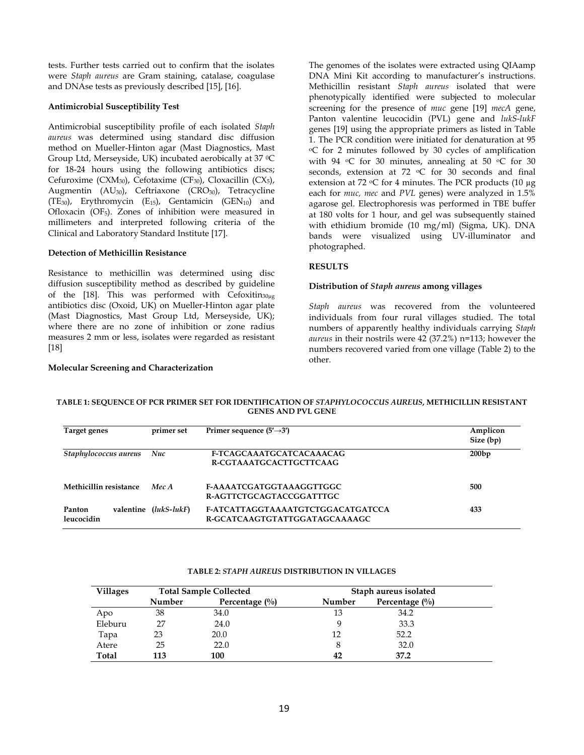tests. Further tests carried out to confirm that the isolates were *Staph aureus* are Gram staining, catalase, coagulase and DNAse tests as previously described [15], [16].

## **Antimicrobial Susceptibility Test**

Antimicrobial susceptibility profile of each isolated *Staph aureus* was determined using standard disc diffusion method on Mueller-Hinton agar (Mast Diagnostics, Mast Group Ltd, Merseyside, UK) incubated aerobically at 37 °C for 18-24 hours using the following antibiotics discs; Cefuroxime (CXM<sub>30</sub>), Cefotaxime (CF<sub>30</sub>), Cloxacillin (CX<sub>5</sub>), Augmentin  $(AU_{30})$ , Ceftriaxone  $(CRO_{30})$ , Tetracycline (TE<sub>30</sub>), Erythromycin (E<sub>15</sub>), Gentamicin (GEN<sub>10</sub>) and Ofloxacin (OF5). Zones of inhibition were measured in millimeters and interpreted following criteria of the Clinical and Laboratory Standard Institute [17].

## **Detection of Methicillin Resistance**

Resistance to methicillin was determined using disc diffusion susceptibility method as described by guideline of the [18]. This was performed with Cefoxitin<sub>30µg</sub> antibiotics disc (Oxoid, UK) on Mueller-Hinton agar plate (Mast Diagnostics, Mast Group Ltd, Merseyside, UK); where there are no zone of inhibition or zone radius measures 2 mm or less, isolates were regarded as resistant [18]

## **Molecular Screening and Characterization**

The genomes of the isolates were extracted using QIAamp DNA Mini Kit according to manufacturer's instructions. Methicillin resistant *Staph aureus* isolated that were phenotypically identified were subjected to molecular screening for the presence of *muc* gene [19] *mecA* gene, Panton valentine leucocidin (PVL) gene and *lukS-lukF*  genes [19] using the appropriate primers as listed in Table 1. The PCR condition were initiated for denaturation at 95 <sup>o</sup>C for 2 minutes followed by 30 cycles of amplification with 94 °C for 30 minutes, annealing at 50 °C for 30 seconds, extension at 72 °C for 30 seconds and final extension at 72  $\rm{C}$  for 4 minutes. The PCR products (10  $\mu$ g each for *muc, mec* and *PVL* genes) were analyzed in 1.5% agarose gel. Electrophoresis was performed in TBE buffer at 180 volts for 1 hour, and gel was subsequently stained with ethidium bromide (10 mg/ml) (Sigma, UK). DNA bands were visualized using UV-illuminator and photographed.

# **RESULTS**

## **Distribution of** *Staph aureus* **among villages**

*Staph aureus* was recovered from the volunteered individuals from four rural villages studied. The total numbers of apparently healthy individuals carrying *Staph aureus* in their nostrils were 42 (37.2%) n=113; however the numbers recovered varied from one village (Table 2) to the other.

## **TABLE 1: SEQUENCE OF PCR PRIMER SET FOR IDENTIFICATION OF** *STAPHYLOCOCCUS AUREUS***, METHICILLIN RESISTANT GENES AND PVL GENE**

| Target genes           | primer set            | Primer sequence $(5' \rightarrow 3')$                                     | Amplicon<br>Size (bp) |
|------------------------|-----------------------|---------------------------------------------------------------------------|-----------------------|
| Staphylococcus aureus  | Nuc                   | F-TCAGCAAATGCATCACAAACAG<br>R-CGTAAATGCACTTGCTTCAAG                       | 200bp                 |
| Methicillin resistance | Mec A                 | <b>F-AAAATCGATGGTAAAGGTTGGC</b><br>R-AGTTCTGCAGTACCGGATTTGC               | 500                   |
| Panton<br>leucocidin   | valentine (lukS-lukF) | <b>F-ATCATTAGGTAAAATGTCTGGACATGATCCA</b><br>R-GCATCAAGTGTATTGGATAGCAAAAGC | 433                   |

#### **TABLE 2:** *STAPH AUREUS* **DISTRIBUTION IN VILLAGES**

| <b>Villages</b> |               | <b>Total Sample Collected</b> | Staph aureus isolated |                   |
|-----------------|---------------|-------------------------------|-----------------------|-------------------|
|                 | <b>Number</b> | Percentage $(\%)$             | Number                | Percentage $(\%)$ |
| Apo             | 38            | 34.0                          | 13                    | 34.2              |
| Eleburu         | 27            | 24.0                          |                       | 33.3              |
| Tapa            | 23            | 20.0                          | 12                    | 52.2              |
| Atere           | 25            | 22.0                          | 8                     | 32.0              |
| Total           | 113           | 100                           | 42                    | 37.2              |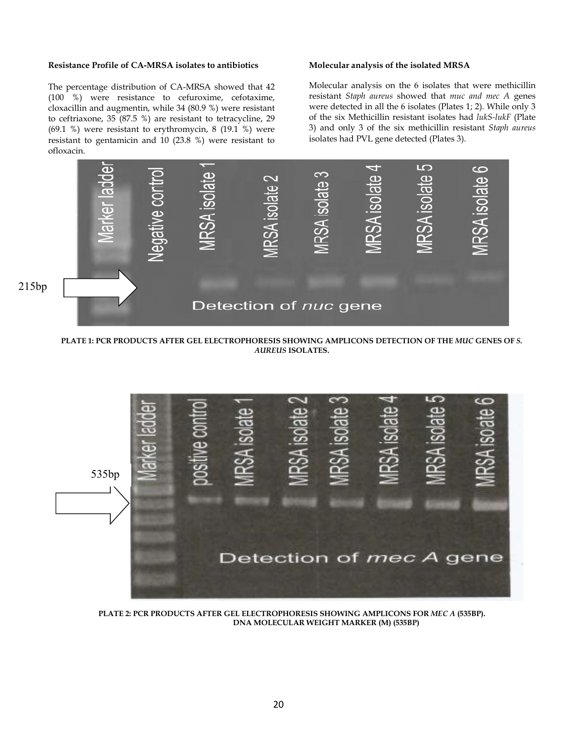## **Resistance Profile of CA-MRSA isolates to antibiotics**

The percentage distribution of CA-MRSA showed that 42 (100 %) were resistance to cefuroxime, cefotaxime, cloxacillin and augmentin, while 34 (80.9 %) were resistant to ceftriaxone, 35 (87.5 %) are resistant to tetracycline, 29 (69.1 %) were resistant to erythromycin, 8 (19.1 %) were resistant to gentamicin and 10 (23.8 %) were resistant to ofloxacin.

**Molecular analysis of the isolated MRSA** 

Molecular analysis on the 6 isolates that were methicillin resistant *Staph aureus* showed that *muc and mec A* genes were detected in all the 6 isolates (Plates 1; 2). While only 3 of the six Methicillin resistant isolates had *lukS-lukF* (Plate 3) and only 3 of the six methicillin resistant *Staph aureus* isolates had PVL gene detected (Plates 3).



**PLATE 1: PCR PRODUCTS AFTER GEL ELECTROPHORESIS SHOWING AMPLICONS DETECTION OF THE** *MUC* **GENES OF** *S. AUREUS* **ISOLATES.** 



**PLATE 2: PCR PRODUCTS AFTER GEL ELECTROPHORESIS SHOWING AMPLICONS FOR** *MEC A* **(535BP). DNA MOLECULAR WEIGHT MARKER (M) (535BP)**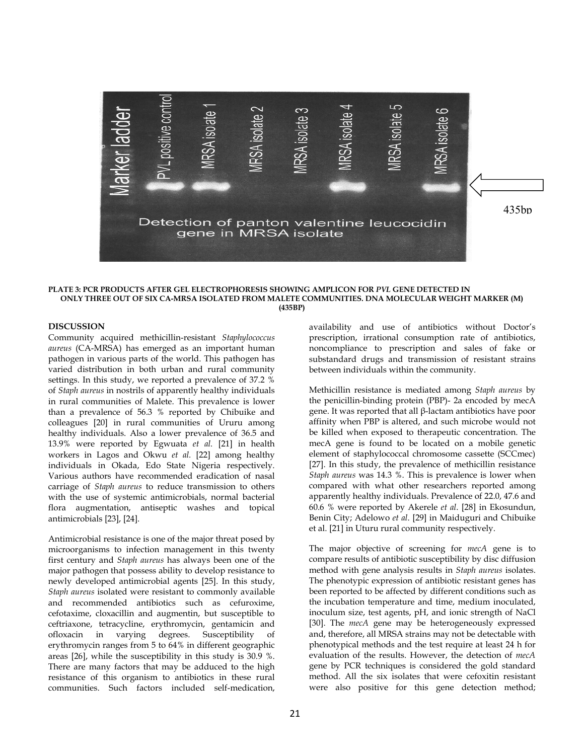

#### **PLATE 3: PCR PRODUCTS AFTER GEL ELECTROPHORESIS SHOWING AMPLICON FOR** *PVL* **GENE DETECTED IN ONLY THREE OUT OF SIX CA-MRSA ISOLATED FROM MALETE COMMUNITIES. DNA MOLECULAR WEIGHT MARKER (M) (435BP)**

### **DISCUSSION**

Community acquired methicillin-resistant *Staphylococcus aureus* (CA-MRSA) has emerged as an important human pathogen in various parts of the world. This pathogen has varied distribution in both urban and rural community settings. In this study, we reported a prevalence of 37.2 % of *Staph aureus* in nostrils of apparently healthy individuals in rural communities of Malete. This prevalence is lower than a prevalence of 56.3 % reported by Chibuike and colleagues [20] in rural communities of Ururu among healthy individuals. Also a lower prevalence of 36.5 and 13.9% were reported by Egwuata *et al.* [21] in health workers in Lagos and Okwu *et al.* [22] among healthy individuals in Okada, Edo State Nigeria respectively. Various authors have recommended eradication of nasal carriage of *Staph aureus* to reduce transmission to others with the use of systemic antimicrobials, normal bacterial flora augmentation, antiseptic washes and topical antimicrobials [23], [24].

Antimicrobial resistance is one of the major threat posed by microorganisms to infection management in this twenty first century and *Staph aureus* has always been one of the major pathogen that possess ability to develop resistance to newly developed antimicrobial agents [25]. In this study, *Staph aureus* isolated were resistant to commonly available and recommended antibiotics such as cefuroxime, cefotaxime, cloxacillin and augmentin, but susceptible to ceftriaxone, tetracycline, erythromycin, gentamicin and ofloxacin in varying degrees. Susceptibility of erythromycin ranges from 5 to 64% in different geographic areas [26], while the susceptibility in this study is 30.9 %. There are many factors that may be adduced to the high resistance of this organism to antibiotics in these rural communities. Such factors included self-medication,

availability and use of antibiotics without Doctor's prescription, irrational consumption rate of antibiotics, noncompliance to prescription and sales of fake or substandard drugs and transmission of resistant strains between individuals within the community.

Methicillin resistance is mediated among *Staph aureus* by the penicillin-binding protein (PBP)- 2a encoded by mecA gene. It was reported that all β-lactam antibiotics have poor affinity when PBP is altered, and such microbe would not be killed when exposed to therapeutic concentration. The mecA gene is found to be located on a mobile genetic element of staphylococcal chromosome cassette (SCCmec) [27]. In this study, the prevalence of methicillin resistance *Staph aureus* was 14.3 %. This is prevalence is lower when compared with what other researchers reported among apparently healthy individuals. Prevalence of 22.0, 47.6 and 60.6 % were reported by Akerele *et al*. [28] in Ekosundun, Benin City; Adelowo *et al*. [29] in Maiduguri and Chibuike et al. [21] in Uturu rural community respectively.

The major objective of screening for *mecA* gene is to compare results of antibiotic susceptibility by disc diffusion method with gene analysis results in *Staph aureus* isolates. The phenotypic expression of antibiotic resistant genes has been reported to be affected by different conditions such as the incubation temperature and time, medium inoculated, inoculum size, test agents, pH, and ionic strength of NaCl [30]. The *mecA* gene may be heterogeneously expressed and, therefore, all MRSA strains may not be detectable with phenotypical methods and the test require at least 24 h for evaluation of the results. However, the detection of *mecA*  gene by PCR techniques is considered the gold standard method. All the six isolates that were cefoxitin resistant were also positive for this gene detection method;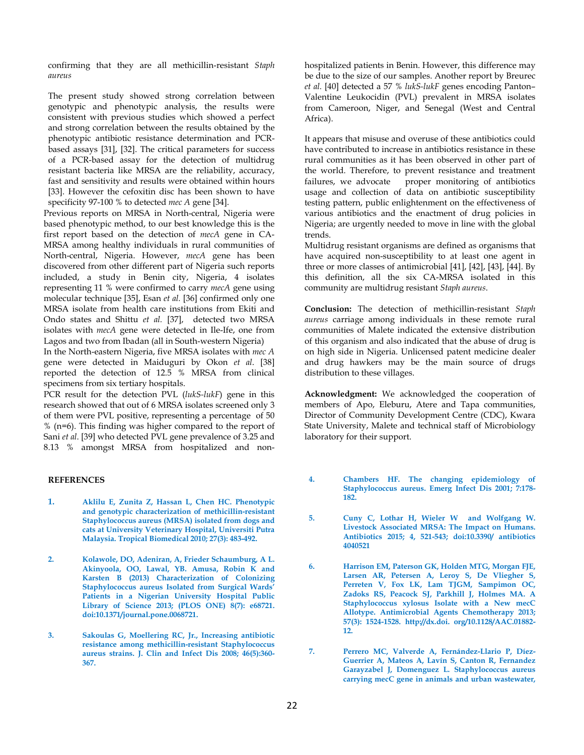confirming that they are all methicillin-resistant *Staph aureus* 

The present study showed strong correlation between genotypic and phenotypic analysis, the results were consistent with previous studies which showed a perfect and strong correlation between the results obtained by the phenotypic antibiotic resistance determination and PCRbased assays [31], [32]. The critical parameters for success of a PCR-based assay for the detection of multidrug resistant bacteria like MRSA are the reliability, accuracy, fast and sensitivity and results were obtained within hours [33]. However the cefoxitin disc has been shown to have specificity 97-100 % to detected *mec A* gene [34].

Previous reports on MRSA in North-central, Nigeria were based phenotypic method, to our best knowledge this is the first report based on the detection of *mecA* gene in CA-MRSA among healthy individuals in rural communities of North-central, Nigeria. However, *mecA* gene has been discovered from other different part of Nigeria such reports included, a study in Benin city, Nigeria, 4 isolates representing 11 % were confirmed to carry *mecA* gene using molecular technique [35], Esan *et al.* [36] confirmed only one MRSA isolate from health care institutions from Ekiti and Ondo states and Shittu *et al.* [37], detected two MRSA isolates with *mecA* gene were detected in Ile-Ife, one from Lagos and two from Ibadan (all in South-western Nigeria)

In the North-eastern Nigeria, five MRSA isolates with *mec A*  gene were detected in Maiduguri by Okon *et al*. [38] reported the detection of 12.5 % MRSA from clinical specimens from six tertiary hospitals.

PCR result for the detection PVL (*lukS-lukF*) gene in this research showed that out of 6 MRSA isolates screened only 3 of them were PVL positive, representing a percentage of 50 % (n=6). This finding was higher compared to the report of Sani *et al*. [39] who detected PVL gene prevalence of 3.25 and 8.13 % amongst MRSA from hospitalized and non-

# **REFERENCES**

- **1. Aklilu E, Zunita Z, Hassan L, Chen HC. Phenotypic and genotypic characterization of methicillin-resistant Staphylococcus aureus (MRSA) isolated from dogs and cats at University Veterinary Hospital, Universiti Putra Malaysia. Tropical Biomedical 2010; 27(3): 483-492.**
- **2. Kolawole, DO, Adeniran, A, Frieder Schaumburg, A L. Akinyoola, OO, Lawal, YB. Amusa, Robin K and Karsten B (2013) Characterization of Colonizing Staphylococcus aureus Isolated from Surgical Wards' Patients in a Nigerian University Hospital Public Library of Science 2013; (PLOS ONE) 8(7): e68721. doi:10.1371/journal.pone.0068721.**
- **3. Sakoulas G, Moellering RC, Jr., Increasing antibiotic resistance among methicillin-resistant Staphylococcus aureus strains. J. Clin and Infect Dis 2008; 46(5):360- 367.**

hospitalized patients in Benin. However, this difference may be due to the size of our samples. Another report by Breurec *et al.* [40] detected a 57 % *lukS-lukF* genes encoding Panton– Valentine Leukocidin (PVL) prevalent in MRSA isolates from Cameroon, Niger, and Senegal (West and Central Africa).

It appears that misuse and overuse of these antibiotics could have contributed to increase in antibiotics resistance in these rural communities as it has been observed in other part of the world. Therefore, to prevent resistance and treatment failures, we advocate proper monitoring of antibiotics usage and collection of data on antibiotic susceptibility testing pattern, public enlightenment on the effectiveness of various antibiotics and the enactment of drug policies in Nigeria; are urgently needed to move in line with the global trends.

Multidrug resistant organisms are defined as organisms that have acquired non-susceptibility to at least one agent in three or more classes of antimicrobial [41], [42], [43], [44]. By this definition, all the six CA-MRSA isolated in this community are multidrug resistant *Staph aureus*.

**Conclusion:** The detection of methicillin-resistant *Staph aureus* carriage among individuals in these remote rural communities of Malete indicated the extensive distribution of this organism and also indicated that the abuse of drug is on high side in Nigeria. Unlicensed patent medicine dealer and drug hawkers may be the main source of drugs distribution to these villages.

**Acknowledgment:** We acknowledged the cooperation of members of Apo, Eleburu, Atere and Tapa communities, Director of Community Development Centre (CDC), Kwara State University, Malete and technical staff of Microbiology laboratory for their support.

- **4. Chambers HF. The changing epidemiology of Staphylococcus aureus. Emerg Infect Dis 2001; 7:178- 182.**
- **5. Cuny C, Lothar H, Wieler W and Wolfgang W. Livestock Associated MRSA: The Impact on Humans. Antibiotics 2015; 4, 521-543; doi:10.3390/ antibiotics 4040521**
- **6. Harrison EM, Paterson GK, Holden MTG, Morgan FJE, Larsen AR, Petersen A, Leroy S, De Vliegher S, Perreten V, Fox LK, Lam TJGM, Sampimon OC, Zadoks RS, Peacock SJ, Parkhill J, Holmes MA. A Staphylococcus xylosus Isolate with a New mecC Allotype. Antimicrobial Agents Chemotherapy 2013; 57(3): 1524-1528. http://dx.doi. org/10.1128/AAC.01882- 12.**
- **7. Perrero MC, Valverde A, Fernández-Llario P, Díez-Guerrier A, Mateos A, Lavín S, Canton R, Fernandez Garayzabel J, Domenguez L. Staphylococcus aureus carrying mecC gene in animals and urban wastewater,**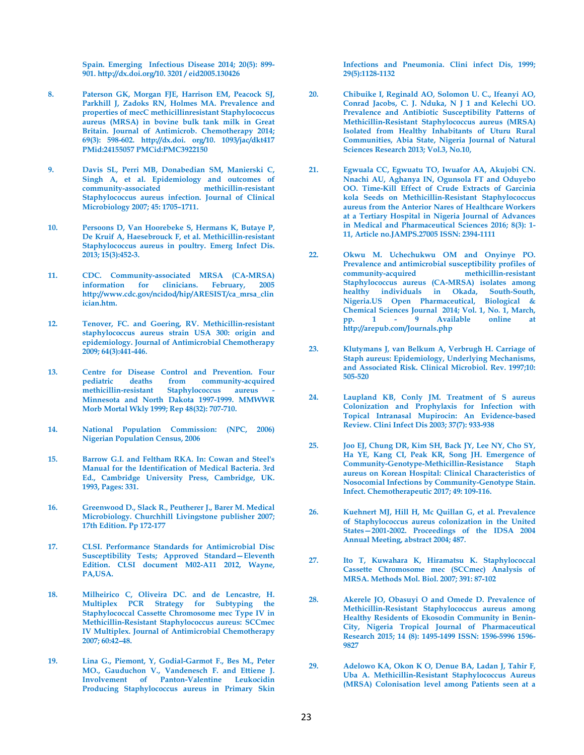**Spain. Emerging Infectious Disease 2014; 20(5): 899- 901. http://dx.doi.org/10. 3201 / eid2005.130426** 

- **8. Paterson GK, Morgan FJE, Harrison EM, Peacock SJ, Parkhill J, Zadoks RN, Holmes MA. Prevalence and properties of mecC methicillinresistant Staphylococcus aureus (MRSA) in bovine bulk tank milk in Great Britain. Journal of Antimicrob. Chemotherapy 2014; 69(3): 598-602. http://dx.doi. org/10. 1093/jac/dkt417 PMid:24155057 PMCid:PMC3922150**
- **9. Davis SL, Perri MB, Donabedian SM, Manierski C, Singh A, et al. Epidemiology and outcomes of community-associated methicillin-resistant Staphylococcus aureus infection. Journal of Clinical Microbiology 2007; 45: 1705–1711.**
- **10. Persoons D, Van Hoorebeke S, Hermans K, Butaye P, De Kruif A, Haesebrouck F, et al. Methicillin-resistant Staphylococcus aureus in poultry. Emerg Infect Dis. 2013; 15(3):452-3.**
- **11. CDC. Community-associated MRSA (CA-MRSA) information for clinicians. February, 2005 http://www.cdc.gov/ncidod/hip/ARESIST/ca\_mrsa\_clin ician.htm.**
- **12. Tenover, FC. and Goering, RV. Methicillin-resistant staphylococcus aureus strain USA 300: origin and epidemiology. Journal of Antimicrobial Chemotherapy 2009; 64(3):441-446.**
- **13. Centre for Disease Control and Prevention. Four pediatric deaths from community-acquired**  methicillin-resistant Staphylococcus aureus **Minnesota and North Dakota 1997-1999. MMWWR Morb Mortal Wkly 1999; Rep 48(32): 707-710.**
- **14. National Population Commission: (NPC, 2006) Nigerian Population Census, 2006**
- **15. Barrow G.I. and Feltham RKA. In: Cowan and Steel's Manual for the Identification of Medical Bacteria. 3rd Ed., Cambridge University Press, Cambridge, UK. 1993, Pages: 331.**
- **16. Greenwood D., Slack R., Peutherer J., Barer M. Medical Microbiology. Churchhill Livingstone publisher 2007; 17th Edition. Pp 172-177**
- **17. CLSI. Performance Standards for Antimicrobial Disc Susceptibility Tests; Approved Standard—Eleventh Edition. CLSI document M02-A11 2012, Wayne, PA,USA.**
- **18. Milheirico C, Oliveira DC. and de Lencastre, H. Multiplex PCR Strategy for Subtyping the Staphylococcal Cassette Chromosome mec Type IV in Methicillin-Resistant Staphylococcus aureus: SCCmec IV Multiplex. Journal of Antimicrobial Chemotherapy 2007; 60:42–48.**
- **19. Lina G., Piemont, Y, Godial-Garmot F., Bes M., Peter MO., Gauduchon V., Vandenesch F. and Ettiene J. Involvement of Panton-Valentine Leukocidin Producing Staphylococcus aureus in Primary Skin**

**Infections and Pneumonia. Clini infect Dis, 1999; 29(5):1128-1132** 

- **20. Chibuike I, Reginald AO, Solomon U. C., Ifeanyi AO, Conrad Jacobs, C. J. Nduka, N J 1 and Kelechi UO. Prevalence and Antibiotic Susceptibility Patterns of Methicillin-Resistant Staphylococcus aureus (MRSA) Isolated from Healthy Inhabitants of Uturu Rural Communities, Abia State, Nigeria Journal of Natural Sciences Research 2013; Vol.3, No.10,**
- **21. Egwuala CC, Egwuatu TO, Iwuafor AA, Akujobi CN. Nnachi AU, Aghanya IN, Ogunsola FT and Oduyebo OO. Time-Kill Effect of Crude Extracts of Garcinia kola Seeds on Methicillin-Resistant Staphylococcus aureus from the Anterior Nares of Healthcare Workers at a Tertiary Hospital in Nigeria Journal of Advances in Medical and Pharmaceutical Sciences 2016; 8(3): 1- 11, Article no.JAMPS.27005 ISSN: 2394-1111**
- **22. Okwu M. Uchechukwu OM and Onyinye PO. Prevalence and antimicrobial susceptibility profiles of community-acquired methicillin-resistant Staphylococcus aureus (CA-MRSA) isolates among healthy individuals in Okada, South-South, Nigeria.US Open Pharmaceutical, Biological & Chemical Sciences Journal 2014; Vol. 1, No. 1, March, pp. 1 - 9 Available online at http://arepub.com/Journals.php**
- **23. Klutymans J, van Belkum A, Verbrugh H. Carriage of Staph aureus: Epidemiology, Underlying Mechanisms, and Associated Risk. Clinical Microbiol. Rev. 1997;10: 505-520**
- **24. Laupland KB, Conly JM. Treatment of S aureus Colonization and Prophylaxis for Infection with Topical Intranasal Mupirocin: An Evidence-based Review. Clini Infect Dis 2003; 37(7): 933-938**
- **25. Joo EJ, Chung DR, Kim SH, Back JY, Lee NY, Cho SY, Ha YE, Kang CI, Peak KR, Song JH. Emergence of Community-Genotype-Methicillin-Resistance Staph aureus on Korean Hospital: Clinical Characteristics of Nosocomial Infections by Community-Genotype Stain. Infect. Chemotherapeutic 2017; 49: 109-116.**
- **26. Kuehnert MJ, Hill H, Mc Quillan G, et al. Prevalence of Staphylococcus aureus colonization in the United States—2001-2002. Proceedings of the IDSA 2004 Annual Meeting, abstract 2004; 487.**
- **27. Ito T, Kuwahara K, Hiramatsu K. Staphylococcal Cassette Chromosome mec (SCCmec) Analysis of MRSA. Methods Mol. Biol. 2007; 391: 87-102**
- **28. Akerele JO, Obasuyi O and Omede D. Prevalence of Methicillin-Resistant Staphylococcus aureus among Healthy Residents of Ekosodin Community in Benin-City, Nigeria Tropical Journal of Pharmaceutical Research 2015; 14 (8): 1495-1499 ISSN: 1596-5996 1596- 9827**
- **29. Adelowo KA, Okon K O, Denue BA, Ladan J, Tahir F, Uba A. Methicillin-Resistant Staphylococcus Aureus (MRSA) Colonisation level among Patients seen at a**